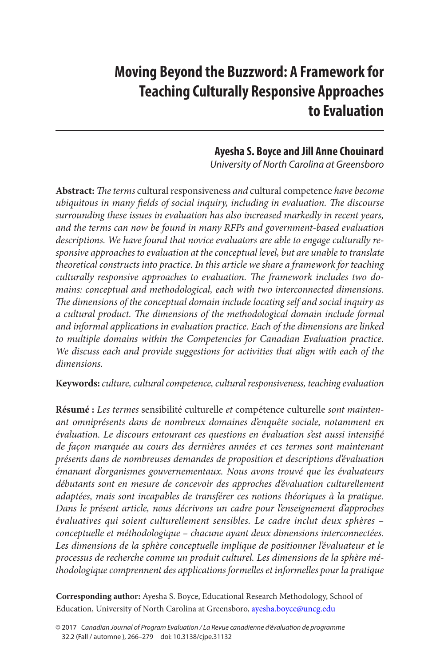# **Moving Beyond the Buzzword: A Framework for Teaching Culturally Responsive Approaches to Evaluation**

# **Ayesha S. Boyce and Jill Anne Chouinard**

*University of North Carolina at Greensboro*

**Abstract:** *The terms* cultural responsiveness *and* cultural competence *have become ubiquitous in many fields of social inquiry, including in evaluation. The discourse surrounding these issues in evaluation has also increased markedly in recent years, and the terms can now be found in many RFPs and government-based evaluation descriptions. We have found that novice evaluators are able to engage culturally responsive approaches to evaluation at the conceptual level, but are unable to translate theoretical constructs into practice. In this article we share a framework for teaching culturally responsive approaches to evaluation. The framework includes two domains: conceptual and methodological, each with two interconnected dimensions. The dimensions of the conceptual domain include locating self and social inquiry as a cultural product. The dimensions of the methodological domain include formal and informal applications in evaluation practice. Each of the dimensions are linked to multiple domains within the Competencies for Canadian Evaluation practice. We discuss each and provide suggestions for activities that align with each of the dimensions.*

**Keywords:** *culture, cultural competence, cultural responsiveness, teaching evaluation*

**Résumé :** *Les termes* sensibilité culturelle *et* compétence culturelle *sont maintenant omniprésents dans de nombreux domaines d'enquête sociale, notamment en évaluation. Le discours entourant ces questions en évaluation s'est aussi intensifié de façon marquée au cours des dernières années et ces termes sont maintenant présents dans de nombreuses demandes de proposition et descriptions d'évaluation émanant d'organismes gouvernementaux. Nous avons trouvé que les évaluateurs débutants sont en mesure de concevoir des approches d'évaluation culturellement adaptées, mais sont incapables de transférer ces notions théoriques à la pratique. Dans le présent article, nous décrivons un cadre pour l'enseignement d'approches évaluatives qui soient culturellement sensibles. Le cadre inclut deux sphères – conceptuelle et méthodologique – chacune ayant deux dimensions interconnectées.*  Les dimensions de la sphère conceptuelle implique de positionner l'évaluateur et le *processus de recherche comme un produit culturel. Les dimensions de la sphère méthodologique comprennent des applications formelles et informelles pour la pratique* 

**Corresponding author:** Ayesha S. Boyce, Educational Research Methodology, School of Education, University of North Carolina at Greensboro, [ayesha.boyce@uncg.edu](mailto:ayesha.boyce@uncg.edu)

<sup>© 2017</sup> *Canadian Journal of Program Evaluation / La Revue canadienne d'évaluation de programme* 32.2 (Fall / automne ), 266–279 doi: 10.3138/cjpe.31132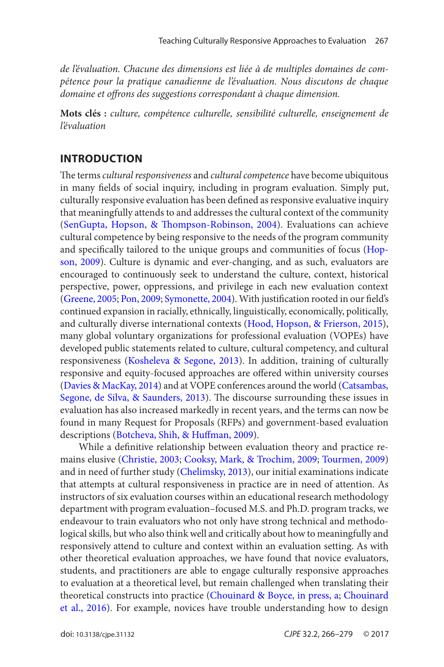<span id="page-1-0"></span>*de l'évaluation. Chacune des dimensions est liée à de multiples domaines de compétence pour la pratique canadienne de l'évaluation. Nous discutons de chaque domaine et offrons des suggestions correspondant à chaque dimension.*

**Mots clés :** *culture, compétence culturelle, sensibilité culturelle, enseignement de l'évaluation*

#### **Introduction**

The terms *cultural responsiveness* and *cultural competence* have become ubiquitous in many fields of social inquiry, including in program evaluation. Simply put, culturally responsive evaluation has been defined as responsive evaluative inquiry that meaningfully attends to and addresses the cultural context of the community ([SenGupta, Hopson, & Thompson-Robinson, 2004](#page-12-0)). Evaluations can achieve cultural competence by being responsive to the needs of the program community and specifically tailored to the unique groups and communities of focus ([Hop](#page-10-0)[son, 2009](#page-10-0)). Culture is dynamic and ever-changing, and as such, evaluators are encouraged to continuously seek to understand the culture, context, historical perspective, power, oppressions, and privilege in each new evaluation context ([Greene, 2005](#page-10-0); [Pon, 2009](#page-12-0); [Symonette, 2004](#page-12-0)). With justification rooted in our field's continued expansion in racially, ethnically, linguistically, economically, politically, and culturally diverse international contexts ([Hood, Hopson, & Frierson, 2015](#page-10-0)), many global voluntary organizations for professional evaluation (VOPEs) have developed public statements related to culture, cultural competency, and cultural responsiveness ([Kosheleva & Segone, 2013](#page-11-0)). In addition, training of culturally responsive and equity-focused approaches are offered within university courses ([Davies & MacKay, 2014](#page-10-0)) and at VOPE conferences around the world ([Catsambas,](#page-9-0) [Segone, de Silva, & Saunders, 2013\)](#page-9-0). The discourse surrounding these issues in evaluation has also increased markedly in recent years, and the terms can now be found in many Request for Proposals (RFPs) and government-based evaluation descriptions ([Botcheva, Shih, & Huffman, 2009](#page-8-0)).

While a definitive relationship between evaluation theory and practice remains elusive ([Christie, 2003](#page-9-0); [Cooksy, Mark, & Trochim, 2009](#page-9-0); [Tourmen, 2009](#page-13-0)) and in need of further study ([Chelimsky, 2013\)](#page-9-0), our initial examinations indicate that attempts at cultural responsiveness in practice are in need of attention. As instructors of six evaluation courses within an educational research methodology department with program evaluation–focused M.S. and Ph.D. program tracks, we endeavour to train evaluators who not only have strong technical and methodological skills, but who also think well and critically about how to meaningfully and responsively attend to culture and context within an evaluation setting. As with other theoretical evaluation approaches, we have found that novice evaluators, students, and practitioners are able to engage culturally responsive approaches to evaluation at a theoretical level, but remain challenged when translating their theoretical constructs into practice ([Chouinard & Boyce, in press, a](#page-9-0); [Chouinard](#page-9-0) [et al., 2016](#page-9-0)). For example, novices have trouble understanding how to design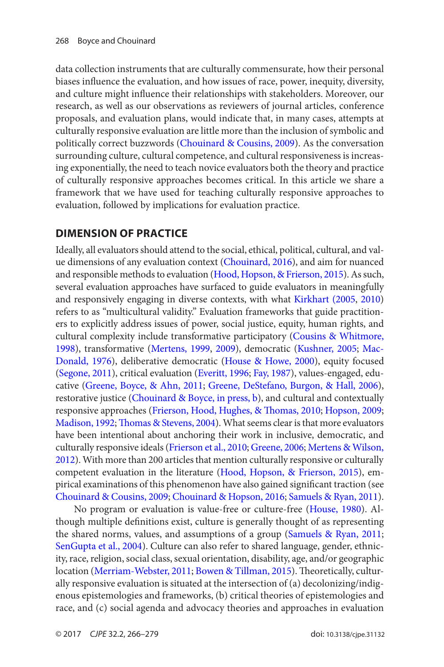<span id="page-2-0"></span>data collection instruments that are culturally commensurate, how their personal biases influence the evaluation, and how issues of race, power, inequity, diversity, and culture might influence their relationships with stakeholders. Moreover, our research, as well as our observations as reviewers of journal articles, conference proposals, and evaluation plans, would indicate that, in many cases, attempts at culturally responsive evaluation are little more than the inclusion of symbolic and politically correct buzzwords ([Chouinard & Cousins, 2009](#page-9-0)). As the conversation surrounding culture, cultural competence, and cultural responsiveness is increasing exponentially, the need to teach novice evaluators both the theory and practice of culturally responsive approaches becomes critical. In this article we share a framework that we have used for teaching culturally responsive approaches to evaluation, followed by implications for evaluation practice.

# **Dimension of Practice**

Ideally, all evaluators should attend to the social, ethical, political, cultural, and value dimensions of any evaluation context ([Chouinard, 2016](#page-9-0)), and aim for nuanced and responsible methods to evaluation ([Hood, Hopson, & Frierson, 2015](#page-10-0)). As such, several evaluation approaches have surfaced to guide evaluators in meaningfully and responsively engaging in diverse contexts, with what [Kirkhart \(2005](#page-11-0), [2010](#page-11-0)) refers to as "multicultural validity." Evaluation frameworks that guide practitioners to explicitly address issues of power, social justice, equity, human rights, and cultural complexity include transformative participatory ([Cousins & Whitmore,](#page-10-0) [1998](#page-10-0)), transformative ([Mertens, 1999](#page-11-0), [2009](#page-11-0)), democratic [\(Kushner, 2005](#page-11-0); [Mac-](#page-11-0)[Donald, 1976](#page-11-0)), deliberative democratic ([House & Howe, 2000](#page-11-0)), equity focused ([Segone, 2011](#page-12-0)), critical evaluation ([Everitt, 1996](#page-10-0); [Fay, 1987](#page-10-0)), values-engaged, educative ([Greene, Boyce, & Ahn, 2011](#page-10-0); [Greene, DeStefano, Burgon, & Hall, 2006](#page-10-0)), restorative justice [\(Chouinard & Boyce, in press, b](#page-9-0)), and cultural and contextually responsive approaches [\(Frierson, Hood, Hughes, & Thomas, 2010;](#page-10-0) [Hopson, 2009](#page-10-0); [Madison, 1992](#page-11-0); [Thomas & Stevens, 2004](#page-12-0)). What seems clear is that more evaluators have been intentional about anchoring their work in inclusive, democratic, and culturally responsive ideals [\(Frierson et al., 2010](#page-10-0); [Greene, 2006](#page-10-0); [Mertens & Wilson,](#page-12-0)  [2012](#page-12-0)). With more than 200 articles that mention culturally responsive or culturally competent evaluation in the literature [\(Hood, Hopson, & Frierson, 2015](#page-10-0)), empirical examinations of this phenomenon have also gained significant traction (see [Chouinard & Cousins, 2009](#page-9-0); [Chouinard & Hopson, 2016](#page-9-0); [Samuels & Ryan, 2011](#page-12-0)).

No program or evaluation is value-free or culture-free ([House, 1980](#page-11-0)). Although multiple definitions exist, culture is generally thought of as representing the shared norms, values, and assumptions of a group ([Samuels & Ryan, 2011](#page-12-0); [SenGupta et al., 2004](#page-12-0)). Culture can also refer to shared language, gender, ethnicity, race, religion, social class, sexual orientation, disability, age, and/or geographic location ([Merriam-Webster, 2011](#page-11-0); [Bowen & Tillman, 2015](#page-8-0)). Theoretically, culturally responsive evaluation is situated at the intersection of (a) decolonizing/indigenous epistemologies and frameworks, (b) critical theories of epistemologies and race, and (c) social agenda and advocacy theories and approaches in evaluation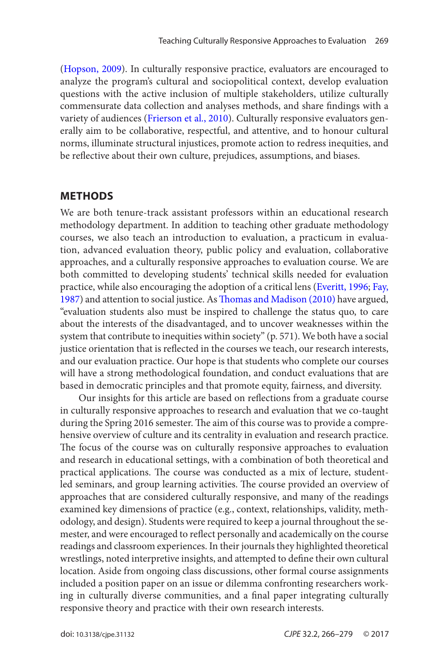<span id="page-3-0"></span>([Hopson, 2009](#page-10-0)). In culturally responsive practice, evaluators are encouraged to analyze the program's cultural and sociopolitical context, develop evaluation questions with the active inclusion of multiple stakeholders, utilize culturally commensurate data collection and analyses methods, and share findings with a variety of audiences ([Frierson et al., 2010\)](#page-10-0). Culturally responsive evaluators generally aim to be collaborative, respectful, and attentive, and to honour cultural norms, illuminate structural injustices, promote action to redress inequities, and be reflective about their own culture, prejudices, assumptions, and biases.

#### **Methods**

We are both tenure-track assistant professors within an educational research methodology department. In addition to teaching other graduate methodology courses, we also teach an introduction to evaluation, a practicum in evaluation, advanced evaluation theory, public policy and evaluation, collaborative approaches, and a culturally responsive approaches to evaluation course. We are both committed to developing students' technical skills needed for evaluation practice, while also encouraging the adoption of a critical lens [\(Everitt, 1996](#page-10-0); [Fay,](#page-10-0)  [1987](#page-10-0)) and attention to social justice. As [Thomas and Madison \(2010\)](#page-12-0) have argued, "evaluation students also must be inspired to challenge the status quo, to care about the interests of the disadvantaged, and to uncover weaknesses within the system that contribute to inequities within society" (p. 571). We both have a social justice orientation that is reflected in the courses we teach, our research interests, and our evaluation practice. Our hope is that students who complete our courses will have a strong methodological foundation, and conduct evaluations that are based in democratic principles and that promote equity, fairness, and diversity.

Our insights for this article are based on reflections from a graduate course in culturally responsive approaches to research and evaluation that we co-taught during the Spring 2016 semester. The aim of this course was to provide a comprehensive overview of culture and its centrality in evaluation and research practice. The focus of the course was on culturally responsive approaches to evaluation and research in educational settings, with a combination of both theoretical and practical applications. The course was conducted as a mix of lecture, studentled seminars, and group learning activities. The course provided an overview of approaches that are considered culturally responsive, and many of the readings examined key dimensions of practice (e.g., context, relationships, validity, methodology, and design). Students were required to keep a journal throughout the semester, and were encouraged to reflect personally and academically on the course readings and classroom experiences. In their journals they highlighted theoretical wrestlings, noted interpretive insights, and attempted to define their own cultural location. Aside from ongoing class discussions, other formal course assignments included a position paper on an issue or dilemma confronting researchers working in culturally diverse communities, and a final paper integrating culturally responsive theory and practice with their own research interests.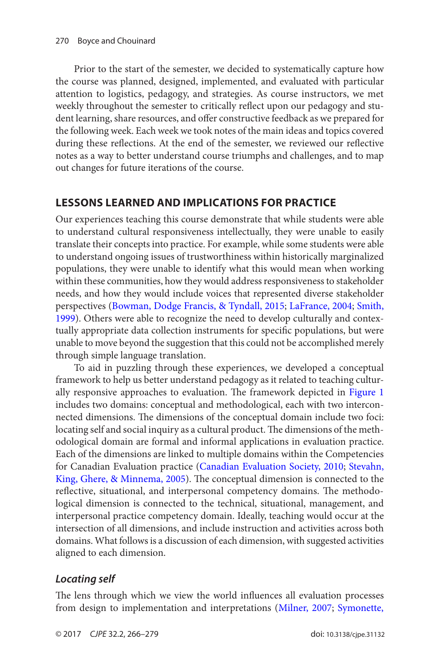<span id="page-4-0"></span>Prior to the start of the semester, we decided to systematically capture how the course was planned, designed, implemented, and evaluated with particular attention to logistics, pedagogy, and strategies. As course instructors, we met weekly throughout the semester to critically reflect upon our pedagogy and student learning, share resources, and offer constructive feedback as we prepared for the following week. Each week we took notes of the main ideas and topics covered during these reflections. At the end of the semester, we reviewed our reflective notes as a way to better understand course triumphs and challenges, and to map out changes for future iterations of the course.

# **Lessons Learned and Implications for Practice**

Our experiences teaching this course demonstrate that while students were able to understand cultural responsiveness intellectually, they were unable to easily translate their concepts into practice. For example, while some students were able to understand ongoing issues of trustworthiness within historically marginalized populations, they were unable to identify what this would mean when working within these communities, how they would address responsiveness to stakeholder needs, and how they would include voices that represented diverse stakeholder perspectives ([Bowman, Dodge Francis, & Tyndall, 2015](#page-9-0); [LaFrance, 2004](#page-11-0); [Smith,](#page-12-0) [1999](#page-12-0)). Others were able to recognize the need to develop culturally and contextually appropriate data collection instruments for specific populations, but were unable to move beyond the suggestion that this could not be accomplished merely through simple language translation.

To aid in puzzling through these experiences, we developed a conceptual framework to help us better understand pedagogy as it related to teaching culturally responsive approaches to evaluation. The framework depicted in [Figure 1](#page-5-0) includes two domains: conceptual and methodological, each with two interconnected dimensions. The dimensions of the conceptual domain include two foci: locating self and social inquiry as a cultural product. The dimensions of the methodological domain are formal and informal applications in evaluation practice. Each of the dimensions are linked to multiple domains within the Competencies for Canadian Evaluation practice ([Canadian Evaluation Society, 2010](#page-9-0); [Stevahn,](#page-12-0) [King, Ghere, & Minnema, 2005](#page-12-0)). The conceptual dimension is connected to the reflective, situational, and interpersonal competency domains. The methodological dimension is connected to the technical, situational, management, and interpersonal practice competency domain. Ideally, teaching would occur at the intersection of all dimensions, and include instruction and activities across both domains. What follows is a discussion of each dimension, with suggested activities aligned to each dimension.

# *Locating self*

The lens through which we view the world influences all evaluation processes from design to implementation and interpretations ([Milner, 2007](#page-12-0); [Symonette,](#page-12-0)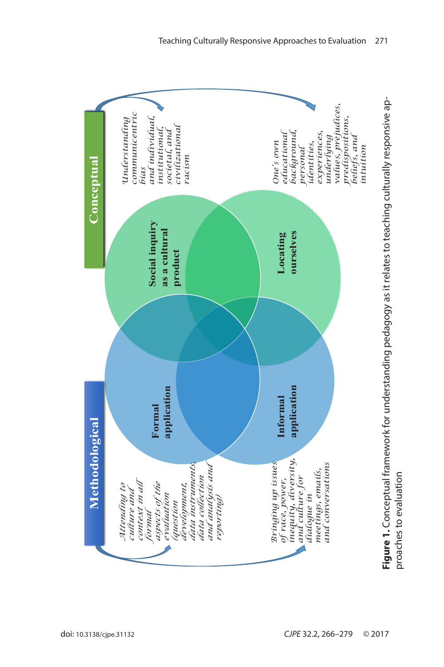<span id="page-5-0"></span>

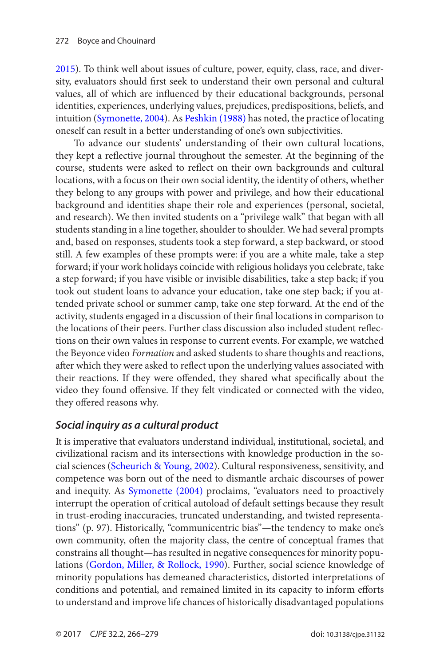<span id="page-6-0"></span>[2015](#page-12-0)). To think well about issues of culture, power, equity, class, race, and diversity, evaluators should first seek to understand their own personal and cultural values, all of which are influenced by their educational backgrounds, personal identities, experiences, underlying values, prejudices, predispositions, beliefs, and intuition [\(Symonette, 2004\)](#page-12-0). As [Peshkin \(1988\)](#page-12-0) has noted, the practice of locating oneself can result in a better understanding of one's own subjectivities.

To advance our students' understanding of their own cultural locations, they kept a reflective journal throughout the semester. At the beginning of the course, students were asked to reflect on their own backgrounds and cultural locations, with a focus on their own social identity, the identity of others, whether they belong to any groups with power and privilege, and how their educational background and identities shape their role and experiences (personal, societal, and research). We then invited students on a "privilege walk" that began with all students standing in a line together, shoulder to shoulder. We had several prompts and, based on responses, students took a step forward, a step backward, or stood still. A few examples of these prompts were: if you are a white male, take a step forward; if your work holidays coincide with religious holidays you celebrate, take a step forward; if you have visible or invisible disabilities, take a step back; if you took out student loans to advance your education, take one step back; if you attended private school or summer camp, take one step forward. At the end of the activity, students engaged in a discussion of their final locations in comparison to the locations of their peers. Further class discussion also included student reflections on their own values in response to current events. For example, we watched the Beyonce video *Formation* and asked students to share thoughts and reactions, after which they were asked to reflect upon the underlying values associated with their reactions. If they were offended, they shared what specifically about the video they found offensive. If they felt vindicated or connected with the video, they offered reasons why.

# *Social inquiry as a cultural product*

It is imperative that evaluators understand individual, institutional, societal, and civilizational racism and its intersections with knowledge production in the social sciences ([Scheurich & Young, 2002](#page-12-0)). Cultural responsiveness, sensitivity, and competence was born out of the need to dismantle archaic discourses of power and inequity. As [Symonette \(2004\)](#page-12-0) proclaims, "evaluators need to proactively interrupt the operation of critical autoload of default settings because they result in trust-eroding inaccuracies, truncated understanding, and twisted representations" (p. 97). Historically, "communicentric bias"—the tendency to make one's own community, often the majority class, the centre of conceptual frames that constrains all thought—has resulted in negative consequences for minority populations ([Gordon, Miller, & Rollock, 1990](#page-10-0)). Further, social science knowledge of minority populations has demeaned characteristics, distorted interpretations of conditions and potential, and remained limited in its capacity to inform efforts to understand and improve life chances of historically disadvantaged populations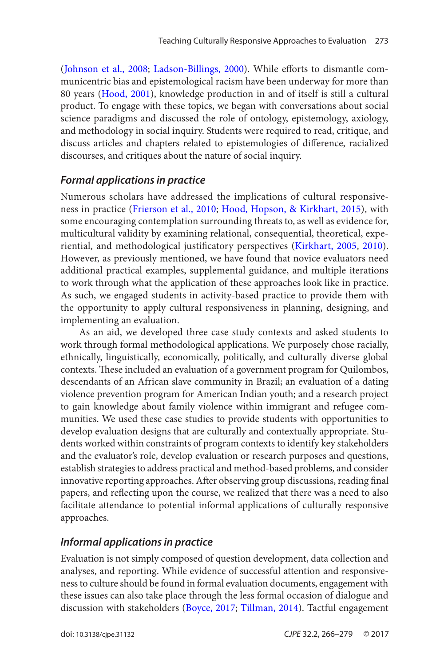<span id="page-7-0"></span>([Johnson et al., 2008](#page-11-0); [Ladson-Billings, 2000](#page-11-0)). While efforts to dismantle communicentric bias and epistemological racism have been underway for more than 80 years ([Hood, 2001](#page-10-0)), knowledge production in and of itself is still a cultural product. To engage with these topics, we began with conversations about social science paradigms and discussed the role of ontology, epistemology, axiology, and methodology in social inquiry. Students were required to read, critique, and discuss articles and chapters related to epistemologies of difference, racialized discourses, and critiques about the nature of social inquiry.

#### *Formal applications in practice*

Numerous scholars have addressed the implications of cultural responsiveness in practice ([Frierson et al., 2010](#page-10-0); [Hood, Hopson, & Kirkhart, 2015](#page-10-0)), with some encouraging contemplation surrounding threats to, as well as evidence for, multicultural validity by examining relational, consequential, theoretical, experiential, and methodological justificatory perspectives ([Kirkhart, 2005](#page-11-0), [2010](#page-11-0)). However, as previously mentioned, we have found that novice evaluators need additional practical examples, supplemental guidance, and multiple iterations to work through what the application of these approaches look like in practice. As such, we engaged students in activity-based practice to provide them with the opportunity to apply cultural responsiveness in planning, designing, and implementing an evaluation.

As an aid, we developed three case study contexts and asked students to work through formal methodological applications. We purposely chose racially, ethnically, linguistically, economically, politically, and culturally diverse global contexts. These included an evaluation of a government program for Quilombos, descendants of an African slave community in Brazil; an evaluation of a dating violence prevention program for American Indian youth; and a research project to gain knowledge about family violence within immigrant and refugee communities. We used these case studies to provide students with opportunities to develop evaluation designs that are culturally and contextually appropriate. Students worked within constraints of program contexts to identify key stakeholders and the evaluator's role, develop evaluation or research purposes and questions, establish strategies to address practical and method-based problems, and consider innovative reporting approaches. After observing group discussions, reading final papers, and reflecting upon the course, we realized that there was a need to also facilitate attendance to potential informal applications of culturally responsive approaches.

#### *Informal applications in practice*

Evaluation is not simply composed of question development, data collection and analyses, and reporting. While evidence of successful attention and responsiveness to culture should be found in formal evaluation documents, engagement with these issues can also take place through the less formal occasion of dialogue and discussion with stakeholders ([Boyce, 2017](#page-9-0); [Tillman, 2014](#page-12-0)). Tactful engagement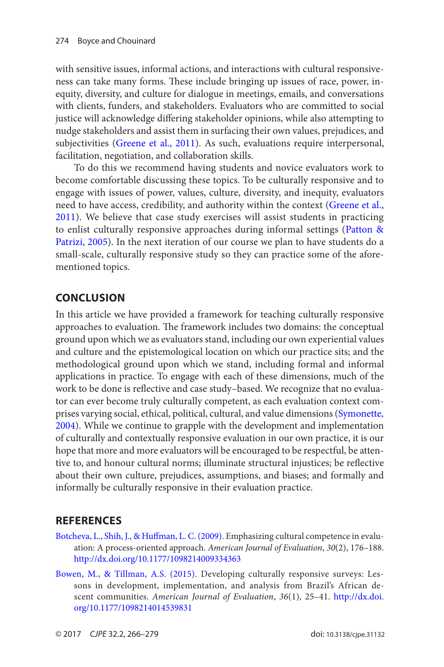<span id="page-8-0"></span>with sensitive issues, informal actions, and interactions with cultural responsiveness can take many forms. These include bringing up issues of race, power, inequity, diversity, and culture for dialogue in meetings, emails, and conversations with clients, funders, and stakeholders. Evaluators who are committed to social justice will acknowledge differing stakeholder opinions, while also attempting to nudge stakeholders and assist them in surfacing their own values, prejudices, and subjectivities ([Greene et al., 2011](#page-10-0)). As such, evaluations require interpersonal, facilitation, negotiation, and collaboration skills.

To do this we recommend having students and novice evaluators work to become comfortable discussing these topics. To be culturally responsive and to engage with issues of power, values, culture, diversity, and inequity, evaluators need to have access, credibility, and authority within the context ([Greene et al.,](#page-10-0)  [2011](#page-10-0)). We believe that case study exercises will assist students in practicing to enlist culturally responsive approaches during informal settings ([Patton &](#page-12-0) [Patrizi, 2005](#page-12-0)). In the next iteration of our course we plan to have students do a small-scale, culturally responsive study so they can practice some of the aforementioned topics.

#### **Conclusion**

In this article we have provided a framework for teaching culturally responsive approaches to evaluation. The framework includes two domains: the conceptual ground upon which we as evaluators stand, including our own experiential values and culture and the epistemological location on which our practice sits; and the methodological ground upon which we stand, including formal and informal applications in practice. To engage with each of these dimensions, much of the work to be done is reflective and case study–based. We recognize that no evaluator can ever become truly culturally competent, as each evaluation context comprises varying social, ethical, political, cultural, and value dimensions ([Symonette,](#page-12-0)  [2004](#page-12-0)). While we continue to grapple with the development and implementation of culturally and contextually responsive evaluation in our own practice, it is our hope that more and more evaluators will be encouraged to be respectful, be attentive to, and honour cultural norms; illuminate structural injustices; be reflective about their own culture, prejudices, assumptions, and biases; and formally and informally be culturally responsive in their evaluation practice.

#### **References**

- [Botcheva, L., Shih, J., & Huffman, L. C. \(2009\)](#page-1-0). Emphasizing cultural competence in evaluation: A process-oriented approach. *American Journal of Evaluation*, *30*(2), 176–188. <http://dx.doi.org/10.1177/1098214009334363>
- [Bowen, M., & Tillman, A.S. \(2015\)](#page-2-0). Developing culturally responsive surveys: Lessons in development, implementation, and analysis from Brazil's African descent communities. *American Journal of Evaluation*, *36*(1), 25–41. [http://dx.doi.](http://dx.doi.org/10.1177/1098214014539831) [org/10.1177/1098214014539831](http://dx.doi.org/10.1177/1098214014539831)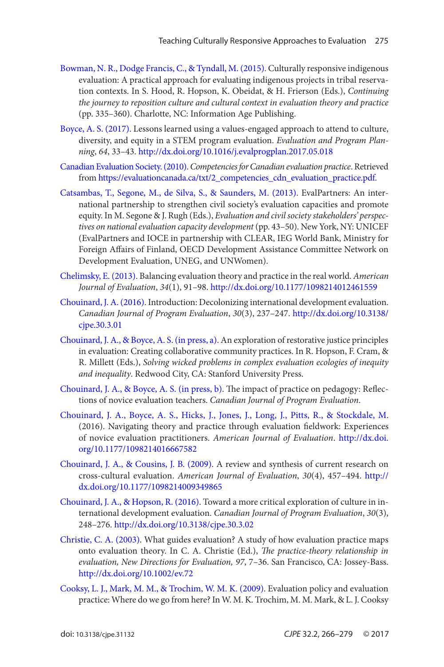- <span id="page-9-0"></span>[Bowman, N. R., Dodge Francis, C., & Tyndall, M. \(2015\)](#page-4-0). Culturally responsive indigenous evaluation: A practical approach for evaluating indigenous projects in tribal reservation contexts. In S. Hood, R. Hopson, K. Obeidat, & H. Frierson (Eds.), *Continuing the journey to reposition culture and cultural context in evaluation theory and practice* (pp. 335–360). Charlotte, NC: Information Age Publishing.
- [Boyce, A. S. \(2017\)](#page-7-0). Lessons learned using a values-engaged approach to attend to culture, diversity, and equity in a STEM program evaluation. *Evaluation and Program Planning*, *64*, 33–43. <http://dx.doi.org/10.1016/j.evalprogplan.2017.05.018>
- [Canadian Evaluation Society. \(2010\).](#page-4-0) *Competencies for Canadian evaluation practice*. Retrieved from [https://evaluationcanada.ca/txt/2\\_competencies\\_cdn\\_evaluation\\_practice.pdf](https://evaluationcanada.ca/txt/2_competencies_cdn_evaluation_practice.pdf).
- [Catsambas, T., Segone, M., de Silva, S., & Saunders, M. \(2013\)](#page-1-0). EvalPartners: An international partnership to strengthen civil society's evaluation capacities and promote equity. In M. Segone & J. Rugh (Eds.), *Evaluation and civil society stakeholders' perspectives on national evaluation capacity development* (pp. 43–50). New York, NY: UNICEF (EvalPartners and IOCE in partnership with CLEAR, IEG World Bank, Ministry for Foreign Affairs of Finland, OECD Development Assistance Committee Network on Development Evaluation, UNEG, and UNWomen).
- [Chelimsky, E. \(2013\)](#page-1-0). Balancing evaluation theory and practice in the real world. *American Journal of Evaluation*, *34*(1), 91–98. <http://dx.doi.org/10.1177/1098214012461559>
- [Chouinard, J. A. \(2016\)](#page-2-0). Introduction: Decolonizing international development evaluation. *Canadian Journal of Program Evaluation*, *30*(3), 237–247. [http://dx.doi.org/10.3138/](http://dx.doi.org/10.3138/cjpe.30.3.01) [cjpe.30.3.01](http://dx.doi.org/10.3138/cjpe.30.3.01)
- [Chouinard, J. A., & Boyce, A. S. \(in press, a\)](#page-1-0). An exploration of restorative justice principles in evaluation: Creating collaborative community practices. In R. Hopson, F. Cram, & R. Millett (Eds.), *Solving wicked problems in complex evaluation ecologies of inequity and inequality*. Redwood City, CA: Stanford University Press.
- [Chouinard, J. A., & Boyce, A. S. \(in press, b\)](#page-2-0). The impact of practice on pedagogy: Reflections of novice evaluation teachers. *Canadian Journal of Program Evaluation*.
- [Chouinard, J. A., Boyce, A. S., Hicks, J., Jones, J., Long, J., Pitts, R., & Stockdale, M.](#page-1-0)  (2016). Navigating theory and practice through evaluation fieldwork: Experiences of novice evaluation practitioners. *American Journal of Evaluation*. [http://dx.doi.](http://dx.doi.org/10.1177/1098214016667582) [org/10.1177/1098214016667582](http://dx.doi.org/10.1177/1098214016667582)
- [Chouinard, J. A., & Cousins, J. B. \(2009\)](#page-2-0). A review and synthesis of current research on cross-cultural evaluation. *American Journal of Evaluation*, *30*(4), 457–494. [http://](http://dx.doi.org/10.1177/1098214009349865) [dx.doi.org/10.1177/1098214009349865](http://dx.doi.org/10.1177/1098214009349865)
- [Chouinard, J. A., & Hopson, R. \(2016\)](#page-2-0). Toward a more critical exploration of culture in international development evaluation. *Canadian Journal of Program Evaluation*, *30*(3), 248–276.<http://dx.doi.org/10.3138/cjpe.30.3.02>
- [Christie, C. A. \(2003\).](#page-1-0) What guides evaluation? A study of how evaluation practice maps onto evaluation theory. In C. A. Christie (Ed.), *The practice-theory relationship in evaluation, New Directions for Evaluation, 97*, 7–36. San Francisco, CA: Jossey-Bass. <http://dx.doi.org/10.1002/ev.72>
- [Cooksy, L. J., Mark, M. M., & Trochim, W. M. K. \(2009\)](#page-1-0). Evaluation policy and evaluation practice: Where do we go from here? In W. M. K. Trochim, M. M. Mark, & L. J. Cooksy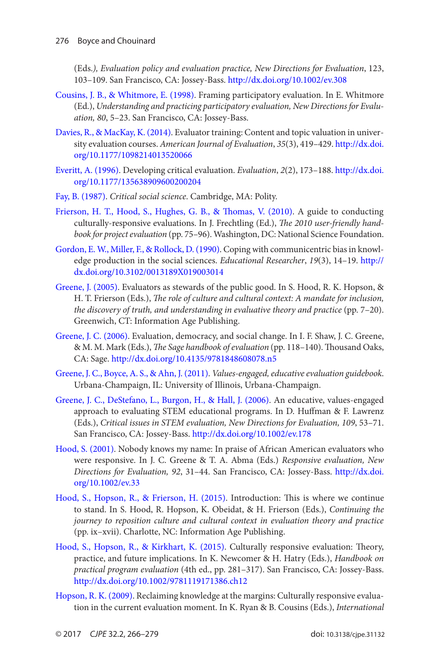<span id="page-10-0"></span>(Eds.*), Evaluation policy and evaluation practice, New Directions for Evaluation*, 123, 103–109. San Francisco, CA: Jossey-Bass. <http://dx.doi.org/10.1002/ev.308>

- [Cousins, J. B., & Whitmore, E. \(1998\)](#page-2-0). Framing participatory evaluation. In E. Whitmore (Ed.), *Understanding and practicing participatory evaluation, New Directions for Evaluation, 80*, 5–23. San Francisco, CA: Jossey-Bass.
- [Davies, R., & MacKay, K. \(2014\)](#page-1-0). Evaluator training: Content and topic valuation in university evaluation courses. *American Journal of Evaluation*, *35*(3), 419–429. [http://dx.doi.](http://dx.doi.org/10.1177/1098214013520066) [org/10.1177/1098214013520066](http://dx.doi.org/10.1177/1098214013520066)
- [Everitt, A. \(1996\)](#page-2-0). Developing critical evaluation. *Evaluation*, *2*(2), 173–188. [http://dx.doi.](http://dx.doi.org/10.1177/135638909600200204) [org/10.1177/135638909600200204](http://dx.doi.org/10.1177/135638909600200204)
- [Fay, B. \(1987\)](#page-2-0). *Critical social science*. Cambridge, MA: Polity.
- [Frierson, H. T., Hood, S., Hughes, G. B., & Thomas, V. \(2010\)](#page-2-0). A guide to conducting culturally-responsive evaluations. In J. Frechtling (Ed.), *The 2010 user-friendly handbook for project evaluation* (pp. 75–96). Washington, DC: National Science Foundation.
- [Gordon, E. W., Miller, F., & Rollock, D. \(1990\)](#page-6-0). Coping with communicentric bias in knowledge production in the social sciences. *Educational Researcher*, *19*(3), 14–19. [http://](http://dx.doi.org/10.3102/0013189X019003014) [dx.doi.org/10.3102/0013189X019003014](http://dx.doi.org/10.3102/0013189X019003014)
- [Greene, J. \(2005\)](#page-1-0). Evaluators as stewards of the public good. In S. Hood, R. K. Hopson, & H. T. Frierson (Eds.), *The role of culture and cultural context: A mandate for inclusion, the discovery of truth, and understanding in evaluative theory and practice* (pp. 7–20). Greenwich, CT: Information Age Publishing.
- [Greene, J. C. \(2006\)](#page-2-0). Evaluation, democracy, and social change. In I. F. Shaw, J. C. Greene, & M. M. Mark (Eds.), *The Sage handbook of evaluation* (pp. 118–140). Thousand Oaks, CA: Sage.<http://dx.doi.org/10.4135/9781848608078.n5>
- [Greene, J. C., Boyce, A. S., & Ahn, J. \(2011\)](#page-2-0). *Values-engaged, educative evaluation guidebook*. Urbana-Champaign, IL: University of Illinois, Urbana-Champaign.
- [Greene, J. C., DeStefano, L., Burgon, H., & Hall, J. \(2006\).](#page-2-0) An educative, values-engaged approach to evaluating STEM educational programs. In D. Huffman & F. Lawrenz (Eds.), *Critical issues in STEM evaluation, New Directions for Evaluation, 109*, 53–71. San Francisco, CA: Jossey-Bass.<http://dx.doi.org/10.1002/ev.178>
- [Hood, S. \(2001\)](#page-7-0). Nobody knows my name: In praise of African American evaluators who were responsive. In J. C. Greene & T. A. Abma (Eds.) *Responsive evaluation, New Directions for Evaluation, 92*, 31–44. San Francisco, CA: Jossey-Bass. [http://dx.doi.](http://dx.doi.org/10.1002/ev.33) [org/10.1002/ev.33](http://dx.doi.org/10.1002/ev.33)
- [Hood, S., Hopson, R., & Frierson, H. \(2015\)](#page-1-0). Introduction: This is where we continue to stand. In S. Hood, R. Hopson, K. Obeidat, & H. Frierson (Eds.), *Continuing the journey to reposition culture and cultural context in evaluation theory and practice* (pp. ix–xvii). Charlotte, NC: Information Age Publishing.
- [Hood, S., Hopson, R., & Kirkhart, K. \(2015\)](#page-7-0). Culturally responsive evaluation: Theory, practice, and future implications. In K. Newcomer & H. Hatry (Eds.), *Handbook on practical program evaluation* (4th ed., pp. 281–317). San Francisco, CA: Jossey-Bass. <http://dx.doi.org/10.1002/9781119171386.ch12>
- [Hopson, R. K. \(2009\)](#page-1-0). Reclaiming knowledge at the margins: Culturally responsive evaluation in the current evaluation moment. In K. Ryan & B. Cousins (Eds.), *International*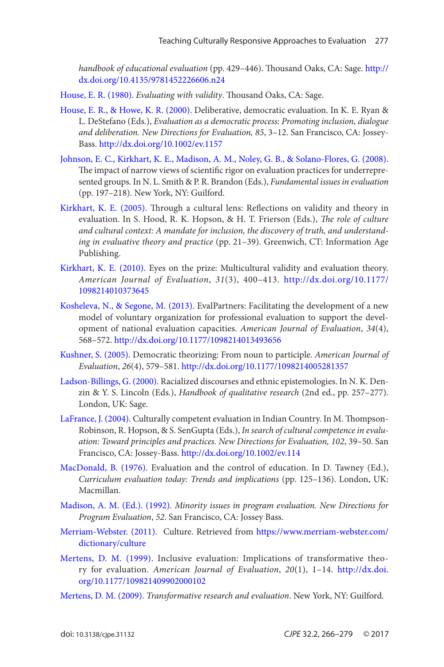<span id="page-11-0"></span>*handbook of educational evaluation* (pp. 429–446). Thousand Oaks, CA: Sage. [http://](http://dx.doi.org/10.4135/9781452226606.n24) [dx.doi.org/10.4135/9781452226606.n24](http://dx.doi.org/10.4135/9781452226606.n24)

- [House, E. R. \(1980\)](#page-2-0). *Evaluating with validity*. Thousand Oaks, CA: Sage.
- [House, E. R., & Howe, K. R. \(2000\)](#page-2-0). Deliberative, democratic evaluation. In K. E. Ryan & L. DeStefano (Eds.), *Evaluation as a democratic process: Promoting inclusion, dialogue and deliberation. New Directions for Evaluation, 85*, 3–12. San Francisco, CA: Jossey-Bass.<http://dx.doi.org/10.1002/ev.1157>
- [Johnson, E. C., Kirkhart, K. E., Madison, A. M., Noley, G. B., & Solano-Flores, G. \(2008\)](#page-7-0). The impact of narrow views of scientific rigor on evaluation practices for underrepresented groups. In N. L. Smith & P. R. Brandon (Eds.), *Fundamental issues in evaluation* (pp. 197–218). New York, NY: Guilford.
- [Kirkhart, K. E. \(2005\)](#page-2-0). Through a cultural lens: Reflections on validity and theory in evaluation. In S. Hood, R. K. Hopson, & H. T. Frierson (Eds.), *The role of culture and cultural context: A mandate for inclusion, the discovery of truth, and understanding in evaluative theory and practice* (pp. 21–39). Greenwich, CT: Information Age Publishing.
- [Kirkhart, K. E. \(2010\)](#page-2-0). Eyes on the prize: Multicultural validity and evaluation theory. *American Journal of Evaluation*, *31*(3), 400–413. [http://dx.doi.org/10.1177/](http://dx.doi.org/10.1177/1098214010373645) [1098214010373645](http://dx.doi.org/10.1177/1098214010373645)
- [Kosheleva, N., & Segone, M. \(2013\)](#page-1-0). EvalPartners: Facilitating the development of a new model of voluntary organization for professional evaluation to support the development of national evaluation capacities. *American Journal of Evaluation*, *34*(4), 568–572.<http://dx.doi.org/10.1177/1098214013493656>
- [Kushner, S. \(2005\).](#page-2-0) Democratic theorizing: From noun to participle. *American Journal of Evaluation*, *26*(4), 579–581. <http://dx.doi.org/10.1177/1098214005281357>
- [Ladson-Billings, G. \(2000\)](#page-7-0). Racialized discourses and ethnic epistemologies. In N. K. Denzin & Y. S. Lincoln (Eds.), *Handbook of qualitative research* (2nd ed., pp. 257–277). London, UK: Sage.
- [LaFrance, J. \(2004\)](#page-4-0). Culturally competent evaluation in Indian Country. In M. Thompson-Robinson, R. Hopson, & S. SenGupta (Eds.), *In search of cultural competence in evaluation: Toward principles and practices. New Directions for Evaluation, 102*, 39–50. San Francisco, CA: Jossey-Bass.<http://dx.doi.org/10.1002/ev.114>
- [MacDonald, B. \(1976\)](#page-2-0). Evaluation and the control of education. In D. Tawney (Ed.), *Curriculum evaluation today: Trends and implications* (pp. 125–136). London, UK: Macmillan.
- [Madison, A. M. \(Ed.\). \(1992\)](#page-2-0). *Minority issues in program evaluation. New Directions for Program Evaluation*, *52*. San Francisco, CA: Jossey Bass.
- [Merriam-Webster. \(2011\)](#page-2-0). Culture. Retrieved from [https://www.merriam-webster.com/](https://www.merriam-webster.com/dictionary/culture) [dictionary/culture](https://www.merriam-webster.com/dictionary/culture)
- [Mertens, D. M. \(1999\)](#page-2-0). Inclusive evaluation: Implications of transformative theory for evaluation. *American Journal of Evaluation*, *20*(1), 1–14. [http://dx.doi.](http://dx.doi.org/10.1177/109821409902000102) [org/10.1177/109821409902000102](http://dx.doi.org/10.1177/109821409902000102)
- [Mertens, D. M. \(2009\)](#page-2-0). *Transformative research and evaluation*. New York, NY: Guilford.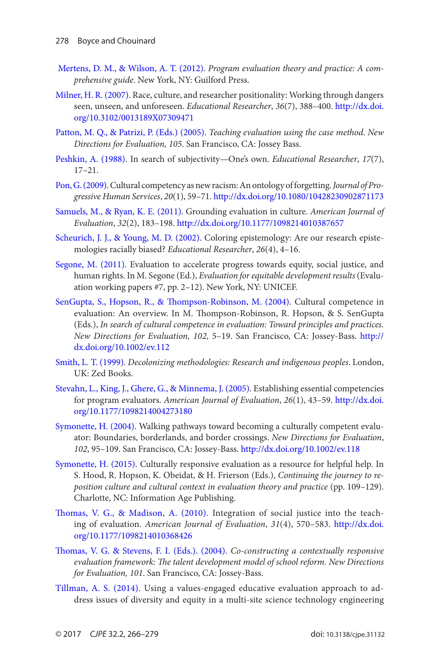- <span id="page-12-0"></span>[Mertens, D. M., & Wilson, A. T. \(2012\)](#page-2-0). *Program evaluation theory and practice: A comprehensive guide*. New York, NY: Guilford Press.
- [Milner, H. R. \(2007\)](#page-4-0). Race, culture, and researcher positionality: Working through dangers seen, unseen, and unforeseen. *Educational Researcher*, *36*(7), 388–400. [http://dx.doi.](http://dx.doi.org/10.3102/0013189X07309471) [org/10.3102/0013189X07309471](http://dx.doi.org/10.3102/0013189X07309471)
- [Patton, M. Q., & Patrizi, P. \(Eds.\) \(2005\)](#page-8-0). *Teaching evaluation using the case method*. *New Directions for Evaluation, 105*. San Francisco, CA: Jossey Bass.
- [Peshkin, A. \(1988\)](#page-6-0). In search of subjectivity—One's own. *Educational Researcher*, *17*(7), 17–21.
- [Pon, G. \(2009\)](#page-1-0). Cultural competency as new racism: An ontology of forgetting. *Journal of Progressive Human Services*, *20*(1), 59–71.<http://dx.doi.org/10.1080/10428230902871173>
- [Samuels, M., & Ryan, K. E. \(2011\)](#page-2-0). Grounding evaluation in culture. *American Journal of Evaluation*, *32*(2), 183–198.<http://dx.doi.org/10.1177/1098214010387657>
- [Scheurich, J. J., & Young, M. D. \(2002\)](#page-6-0). Coloring epistemology: Are our research epistemologies racially biased? *Educational Researcher*, *26*(4), 4–16.
- [Segone, M. \(2011\)](#page-2-0). Evaluation to accelerate progress towards equity, social justice, and human rights. In M. Segone (Ed.), *Evaluation for equitable development results* (Evaluation working papers #7, pp. 2–12). New York, NY: UNICEF.
- [SenGupta, S., Hopson, R., & Thompson-Robinson, M. \(2004\)](#page-1-0). Cultural competence in evaluation: An overview. In M. Thompson-Robinson, R. Hopson, & S. SenGupta (Eds.), *In search of cultural competence in evaluation: Toward principles and practices. New Directions for Evaluation, 102,* 5–19. San Francisco, CA: Jossey-Bass. [http://](http://dx.doi.org/10.1002/ev.112) [dx.doi.org/10.1002/ev.112](http://dx.doi.org/10.1002/ev.112)
- [Smith, L. T. \(1999\)](#page-4-0). *Decolonizing methodologies: Research and indigenous peoples*. London, UK: Zed Books.
- [Stevahn, L., King, J., Ghere, G., & Minnema, J. \(2005\).](#page-4-0) Establishing essential competencies for program evaluators. *American Journal of Evaluation*, *26*(1), 43–59. [http://dx.doi.](http://dx.doi.org/10.1177/1098214004273180) [org/10.1177/1098214004273180](http://dx.doi.org/10.1177/1098214004273180)
- [Symonette, H. \(2004\)](#page-1-0). Walking pathways toward becoming a culturally competent evaluator: Boundaries, borderlands, and border crossings. *New Directions for Evaluation*, *102*, 95–109. San Francisco, CA: Jossey-Bass.<http://dx.doi.org/10.1002/ev.118>
- [Symonette, H. \(2015\)](#page-4-0). Culturally responsive evaluation as a resource for helpful help. In S. Hood, R. Hopson, K. Obeidat, & H. Frierson (Eds.), *Continuing the journey to reposition culture and cultural context in evaluation theory and practice* (pp. 109–129). Charlotte, NC: Information Age Publishing.
- [Thomas, V. G., & Madison, A. \(2010\)](#page-3-0). Integration of social justice into the teaching of evaluation. *American Journal of Evaluation*, *31*(4), 570–583. [http://dx.doi.](http://dx.doi.org/10.1177/1098214010368426) [org/10.1177/1098214010368426](http://dx.doi.org/10.1177/1098214010368426)
- [Thomas, V. G. & Stevens, F. I. \(Eds.\). \(2004\)](#page-2-0). *Co-constructing a contextually responsive evaluation framework: The talent development model of school reform. New Directions for Evaluation, 101*. San Francisco, CA: Jossey-Bass.
- [Tillman, A. S. \(2014\)](#page-7-0). Using a values-engaged educative evaluation approach to address issues of diversity and equity in a multi-site science technology engineering